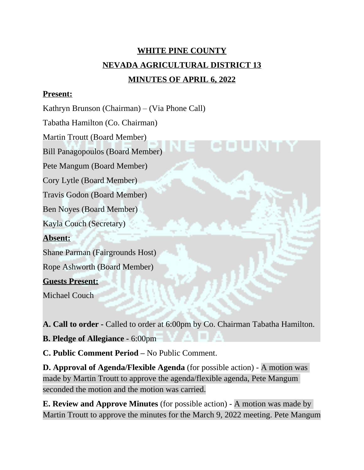# **WHITE PINE COUNTY NEVADA AGRICULTURAL DISTRICT 13 MINUTES OF APRIL 6, 2022**

#### **Present:**

Kathryn Brunson (Chairman) – (Via Phone Call)

Tabatha Hamilton (Co. Chairman)

Martin Troutt (Board Member)

Bill Panagopoulos (Board Member)

Pete Mangum (Board Member)

Cory Lytle (Board Member)

Travis Godon (Board Member)

Ben Noyes (Board Member)

Kayla Couch (Secretary)

## **Absent:**

Shane Parman (Fairgrounds Host)

Rope Ashworth (Board Member)

## **Guests Present:**

Michael Couch

**A. Call to order -** Called to order at 6:00pm by Co. Chairman Tabatha Hamilton.

**B. Pledge of Allegiance -** 6:00pm

**C. Public Comment Period –** No Public Comment.

**D. Approval of Agenda/Flexible Agenda** (for possible action) - A motion was made by Martin Troutt to approve the agenda/flexible agenda, Pete Mangum seconded the motion and the motion was carried.

**E. Review and Approve Minutes** (for possible action) - A motion was made by Martin Troutt to approve the minutes for the March 9, 2022 meeting. Pete Mangum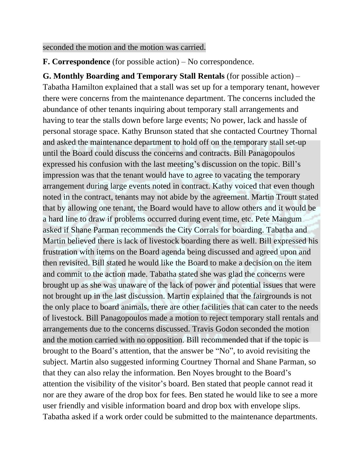seconded the motion and the motion was carried.

**F. Correspondence** (for possible action) – No correspondence.

**G. Monthly Boarding and Temporary Stall Rentals** (for possible action) – Tabatha Hamilton explained that a stall was set up for a temporary tenant, however there were concerns from the maintenance department. The concerns included the abundance of other tenants inquiring about temporary stall arrangements and having to tear the stalls down before large events; No power, lack and hassle of personal storage space. Kathy Brunson stated that she contacted Courtney Thornal and asked the maintenance department to hold off on the temporary stall set-up until the Board could discuss the concerns and contracts. Bill Panagopoulos expressed his confusion with the last meeting's discussion on the topic. Bill's impression was that the tenant would have to agree to vacating the temporary arrangement during large events noted in contract. Kathy voiced that even though noted in the contract, tenants may not abide by the agreement. Martin Troutt stated that by allowing one tenant, the Board would have to allow others and it would be a hard line to draw if problems occurred during event time, etc. Pete Mangum asked if Shane Parman recommends the City Corrals for boarding. Tabatha and Martin believed there is lack of livestock boarding there as well. Bill expressed his frustration with items on the Board agenda being discussed and agreed upon and then revisited. Bill stated he would like the Board to make a decision on the item and commit to the action made. Tabatha stated she was glad the concerns were brought up as she was unaware of the lack of power and potential issues that were not brought up in the last discussion. Martin explained that the fairgrounds is not the only place to board animals, there are other facilities that can cater to the needs of livestock. Bill Panagopoulos made a motion to reject temporary stall rentals and arrangements due to the concerns discussed. Travis Godon seconded the motion and the motion carried with no opposition. Bill recommended that if the topic is brought to the Board's attention, that the answer be "No", to avoid revisiting the subject. Martin also suggested informing Courtney Thornal and Shane Parman, so that they can also relay the information. Ben Noyes brought to the Board's attention the visibility of the visitor's board. Ben stated that people cannot read it nor are they aware of the drop box for fees. Ben stated he would like to see a more user friendly and visible information board and drop box with envelope slips. Tabatha asked if a work order could be submitted to the maintenance departments.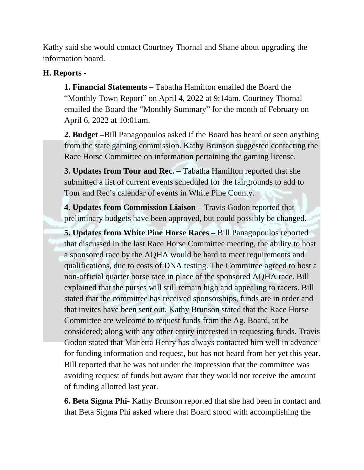Kathy said she would contact Courtney Thornal and Shane about upgrading the information board.

## **H. Reports -**

**1. Financial Statements –** Tabatha Hamilton emailed the Board the "Monthly Town Report" on April 4, 2022 at 9:14am. Courtney Thornal emailed the Board the "Monthly Summary" for the month of February on April 6, 2022 at 10:01am.

**2. Budget –**Bill Panagopoulos asked if the Board has heard or seen anything from the state gaming commission. Kathy Brunson suggested contacting the Race Horse Committee on information pertaining the gaming license.

**3. Updates from Tour and Rec. –** Tabatha Hamilton reported that she submitted a list of current events scheduled for the fairgrounds to add to Tour and Rec's calendar of events in White Pine County.

**4. Updates from Commission Liaison –** Travis Godon reported that preliminary budgets have been approved, but could possibly be changed.

**5. Updates from White Pine Horse Races – Bill Panagopoulos reported** that discussed in the last Race Horse Committee meeting, the ability to host a sponsored race by the AQHA would be hard to meet requirements and qualifications, due to costs of DNA testing. The Committee agreed to host a non-official quarter horse race in place of the sponsored AQHA race. Bill explained that the purses will still remain high and appealing to racers. Bill stated that the committee has received sponsorships, funds are in order and that invites have been sent out. Kathy Brunson stated that the Race Horse Committee are welcome to request funds from the Ag. Board, to be considered; along with any other entity interested in requesting funds. Travis Godon stated that Marietta Henry has always contacted him well in advance for funding information and request, but has not heard from her yet this year. Bill reported that he was not under the impression that the committee was avoiding request of funds but aware that they would not receive the amount of funding allotted last year.

**6. Beta Sigma Phi-** Kathy Brunson reported that she had been in contact and that Beta Sigma Phi asked where that Board stood with accomplishing the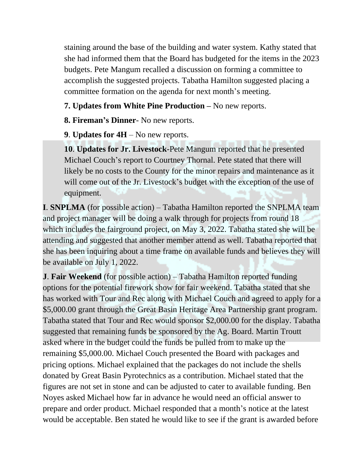staining around the base of the building and water system. Kathy stated that she had informed them that the Board has budgeted for the items in the 2023 budgets. Pete Mangum recalled a discussion on forming a committee to accomplish the suggested projects. Tabatha Hamilton suggested placing a committee formation on the agenda for next month's meeting.

## **7. Updates from White Pine Production –** No new reports.

**8. Fireman's Dinner**- No new reports.

**9**. **Updates for 4H** – No new reports.

**10**. **Updates for Jr. Livestock**-Pete Mangum reported that he presented Michael Couch's report to Courtney Thornal. Pete stated that there will likely be no costs to the County for the minor repairs and maintenance as it will come out of the Jr. Livestock's budget with the exception of the use of equipment.

**I**. **SNPLMA** (for possible action) – Tabatha Hamilton reported the SNPLMA team and project manager will be doing a walk through for projects from round 18 which includes the fairground project, on May 3, 2022. Tabatha stated she will be attending and suggested that another member attend as well. Tabatha reported that she has been inquiring about a time frame on available funds and believes they will be available on July 1, 2022.

**J**. **Fair Weekend** (for possible action) – Tabatha Hamilton reported funding options for the potential firework show for fair weekend. Tabatha stated that she has worked with Tour and Rec along with Michael Couch and agreed to apply for a \$5,000.00 grant through the Great Basin Heritage Area Partnership grant program. Tabatha stated that Tour and Rec would sponsor \$2,000.00 for the display. Tabatha suggested that remaining funds be sponsored by the Ag. Board. Martin Troutt asked where in the budget could the funds be pulled from to make up the remaining \$5,000.00. Michael Couch presented the Board with packages and pricing options. Michael explained that the packages do not include the shells donated by Great Basin Pyrotechnics as a contribution. Michael stated that the figures are not set in stone and can be adjusted to cater to available funding. Ben Noyes asked Michael how far in advance he would need an official answer to prepare and order product. Michael responded that a month's notice at the latest would be acceptable. Ben stated he would like to see if the grant is awarded before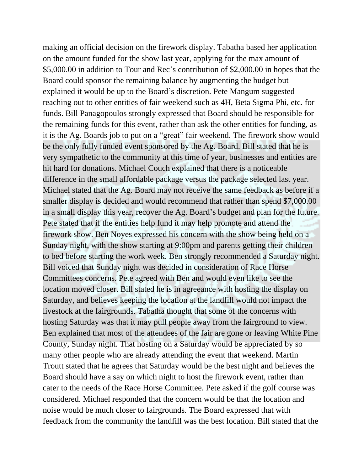making an official decision on the firework display. Tabatha based her application on the amount funded for the show last year, applying for the max amount of \$5,000.00 in addition to Tour and Rec's contribution of \$2,000.00 in hopes that the Board could sponsor the remaining balance by augmenting the budget but explained it would be up to the Board's discretion. Pete Mangum suggested reaching out to other entities of fair weekend such as 4H, Beta Sigma Phi, etc. for funds. Bill Panagopoulos strongly expressed that Board should be responsible for the remaining funds for this event, rather than ask the other entities for funding, as it is the Ag. Boards job to put on a "great" fair weekend. The firework show would be the only fully funded event sponsored by the Ag. Board. Bill stated that he is very sympathetic to the community at this time of year, businesses and entities are hit hard for donations. Michael Couch explained that there is a noticeable difference in the small affordable package versus the package selected last year. Michael stated that the Ag. Board may not receive the same feedback as before if a smaller display is decided and would recommend that rather than spend \$7,000.00 in a small display this year, recover the Ag. Board's budget and plan for the future. Pete stated that if the entities help fund it may help promote and attend the firework show. Ben Noyes expressed his concern with the show being held on a Sunday night, with the show starting at 9:00pm and parents getting their children to bed before starting the work week. Ben strongly recommended a Saturday night. Bill voiced that Sunday night was decided in consideration of Race Horse Committees concerns. Pete agreed with Ben and would even like to see the location moved closer. Bill stated he is in agreeance with hosting the display on Saturday, and believes keeping the location at the landfill would not impact the livestock at the fairgrounds. Tabatha thought that some of the concerns with hosting Saturday was that it may pull people away from the fairground to view. Ben explained that most of the attendees of the fair are gone or leaving White Pine County, Sunday night. That hosting on a Saturday would be appreciated by so many other people who are already attending the event that weekend. Martin Troutt stated that he agrees that Saturday would be the best night and believes the Board should have a say on which night to host the firework event, rather than cater to the needs of the Race Horse Committee. Pete asked if the golf course was considered. Michael responded that the concern would be that the location and noise would be much closer to fairgrounds. The Board expressed that with feedback from the community the landfill was the best location. Bill stated that the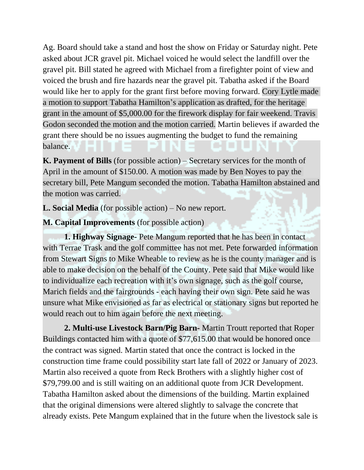Ag. Board should take a stand and host the show on Friday or Saturday night. Pete asked about JCR gravel pit. Michael voiced he would select the landfill over the gravel pit. Bill stated he agreed with Michael from a firefighter point of view and voiced the brush and fire hazards near the gravel pit. Tabatha asked if the Board would like her to apply for the grant first before moving forward. Cory Lytle made a motion to support Tabatha Hamilton's application as drafted, for the heritage grant in the amount of \$5,000.00 for the firework display for fair weekend. Travis Godon seconded the motion and the motion carried. Martin believes if awarded the grant there should be no issues augmenting the budget to fund the remaining balance.

**K. Payment of Bills** (for possible action) – Secretary services for the month of April in the amount of \$150.00. A motion was made by Ben Noyes to pay the secretary bill, Pete Mangum seconded the motion. Tabatha Hamilton abstained and the motion was carried.

**L. Social Media** (for possible action) – No new report.

**M. Capital Improvements** (for possible action)

**1. Highway Signage-** Pete Mangum reported that he has been in contact with Terrae Trask and the golf committee has not met. Pete forwarded information from Stewart Signs to Mike Wheable to review as he is the county manager and is able to make decision on the behalf of the County. Pete said that Mike would like to individualize each recreation with it's own signage, such as the golf course, Marich fields and the fairgrounds - each having their own sign. Pete said he was unsure what Mike envisioned as far as electrical or stationary signs but reported he would reach out to him again before the next meeting.

**2. Multi-use Livestock Barn/Pig Barn-** Martin Troutt reported that Roper Buildings contacted him with a quote of \$77,615.00 that would be honored once the contract was signed. Martin stated that once the contract is locked in the construction time frame could possibility start late fall of 2022 or January of 2023. Martin also received a quote from Reck Brothers with a slightly higher cost of \$79,799.00 and is still waiting on an additional quote from JCR Development. Tabatha Hamilton asked about the dimensions of the building. Martin explained that the original dimensions were altered slightly to salvage the concrete that already exists. Pete Mangum explained that in the future when the livestock sale is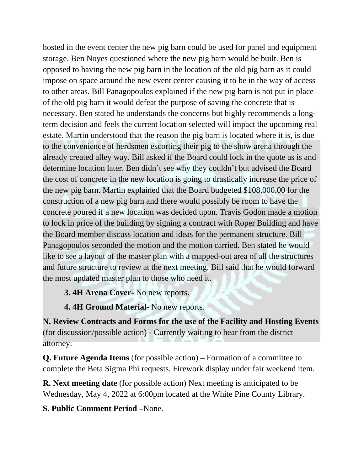hosted in the event center the new pig barn could be used for panel and equipment storage. Ben Noyes questioned where the new pig barn would be built. Ben is opposed to having the new pig barn in the location of the old pig barn as it could impose on space around the new event center causing it to be in the way of access to other areas. Bill Panagopoulos explained if the new pig barn is not put in place of the old pig barn it would defeat the purpose of saving the concrete that is necessary. Ben stated he understands the concerns but highly recommends a longterm decision and feels the current location selected will impact the upcoming real estate. Martin understood that the reason the pig barn is located where it is, is due to the convenience of herdsmen escorting their pig to the show arena through the already created alley way. Bill asked if the Board could lock in the quote as is and determine location later. Ben didn't see why they couldn't but advised the Board the cost of concrete in the new location is going to drastically increase the price of the new pig barn. Martin explained that the Board budgeted \$108,000.00 for the construction of a new pig barn and there would possibly be room to have the concrete poured if a new location was decided upon. Travis Godon made a motion to lock in price of the building by signing a contract with Roper Building and have the Board member discuss location and ideas for the permanent structure. Bill Panagopoulos seconded the motion and the motion carried. Ben stated he would like to see a layout of the master plan with a mapped-out area of all the structures and future structure to review at the next meeting. Bill said that he would forward the most updated master plan to those who need it.

## **3. 4H Arena Cover-** No new reports.

**4. 4H Ground Material-** No new reports.

**N. Review Contracts and Forms for the use of the Facility and Hosting Events**  (for discussion/possible action) - Currently waiting to hear from the district attorney.

**Q. Future Agenda Items** (for possible action) **–** Formation of a committee to complete the Beta Sigma Phi requests. Firework display under fair weekend item.

**R. Next meeting date** (for possible action) Next meeting is anticipated to be Wednesday, May 4, 2022 at 6:00pm located at the White Pine County Library.

## **S. Public Comment Period –**None.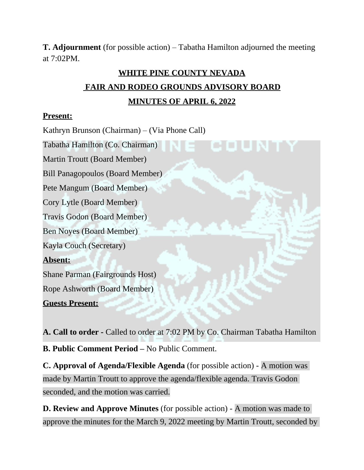**T. Adjournment** (for possible action) – Tabatha Hamilton adjourned the meeting at 7:02PM.

## **WHITE PINE COUNTY NEVADA FAIR AND RODEO GROUNDS ADVISORY BOARD MINUTES OF APRIL 6, 2022**

#### **Present:**

Kathryn Brunson (Chairman) – (Via Phone Call)

Martin Troutt (Board Member)

Bill Panagopoulos (Board Member)

Tabatha Hamilton (Co. Chairman)

Pete Mangum (Board Member)

Cory Lytle (Board Member)

Travis Godon (Board Member)

Ben Noyes (Board Member)

Kayla Couch (Secretary)

## **Absent:**

Shane Parman (Fairgrounds Host)

Rope Ashworth (Board Member)

**Guests Present:**

**A. Call to order -** Called to order at 7:02 PM by Co. Chairman Tabatha Hamilton **B. Public Comment Period –** No Public Comment.

**C. Approval of Agenda/Flexible Agenda** (for possible action) - A motion was made by Martin Troutt to approve the agenda/flexible agenda. Travis Godon seconded, and the motion was carried.

**D. Review and Approve Minutes** (for possible action) - A motion was made to approve the minutes for the March 9, 2022 meeting by Martin Troutt, seconded by